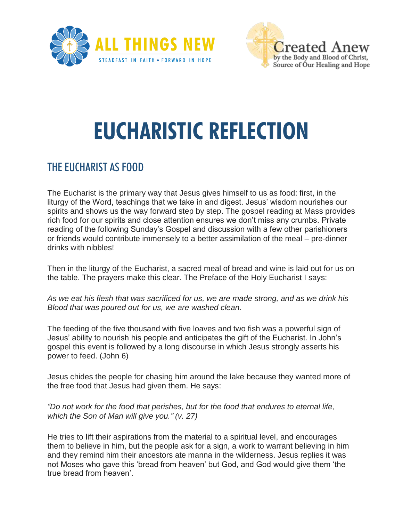



## **EUCHARISTIC REFLECTION**

## THE EUCHARIST AS FOOD

The Eucharist is the primary way that Jesus gives himself to us as food: first, in the liturgy of the Word, teachings that we take in and digest. Jesus' wisdom nourishes our spirits and shows us the way forward step by step. The gospel reading at Mass provides rich food for our spirits and close attention ensures we don't miss any crumbs. Private reading of the following Sunday's Gospel and discussion with a few other parishioners or friends would contribute immensely to a better assimilation of the meal – pre-dinner drinks with nibbles!

Then in the liturgy of the Eucharist, a sacred meal of bread and wine is laid out for us on the table. The prayers make this clear. The Preface of the Holy Eucharist I says:

*As we eat his flesh that was sacrificed for us, we are made strong, and as we drink his Blood that was poured out for us, we are washed clean.*

The feeding of the five thousand with five loaves and two fish was a powerful sign of Jesus' ability to nourish his people and anticipates the gift of the Eucharist. In John's gospel this event is followed by a long discourse in which Jesus strongly asserts his power to feed. (John 6)

Jesus chides the people for chasing him around the lake because they wanted more of the free food that Jesus had given them. He says:

*"Do not work for the food that perishes, but for the food that endures to eternal life, which the Son of Man will give you." (v. 27)*

He tries to lift their aspirations from the material to a spiritual level, and encourages them to believe in him, but the people ask for a sign, a work to warrant believing in him and they remind him their ancestors ate manna in the wilderness. Jesus replies it was not Moses who gave this 'bread from heaven' but God, and God would give them 'the true bread from heaven'.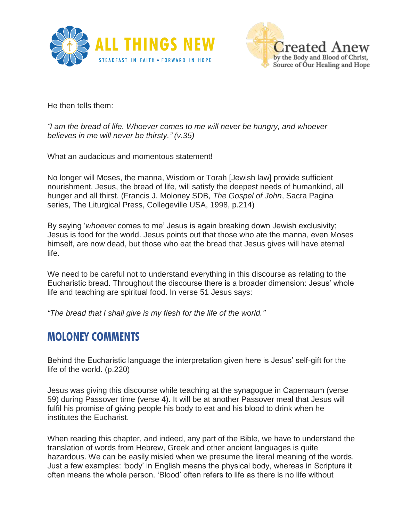



He then tells them:

*"I am the bread of life. Whoever comes to me will never be hungry, and whoever believes in me will never be thirsty." (v.35)*

What an audacious and momentous statement!

No longer will Moses, the manna, Wisdom or Torah [Jewish law] provide sufficient nourishment. Jesus, the bread of life, will satisfy the deepest needs of humankind, all hunger and all thirst. (Francis J. Moloney SDB, *The Gospel of John*, Sacra Pagina series, The Liturgical Press, Collegeville USA, 1998, p.214)

By saying '*whoever* comes to me' Jesus is again breaking down Jewish exclusivity; Jesus is food for the world. Jesus points out that those who ate the manna, even Moses himself, are now dead, but those who eat the bread that Jesus gives will have eternal life.

We need to be careful not to understand everything in this discourse as relating to the Eucharistic bread. Throughout the discourse there is a broader dimension: Jesus' whole life and teaching are spiritual food. In verse 51 Jesus says:

*"The bread that I shall give is my flesh for the life of the world."*

## **MOLONEY COMMENTS**

Behind the Eucharistic language the interpretation given here is Jesus' self-gift for the life of the world. (p.220)

Jesus was giving this discourse while teaching at the synagogue in Capernaum (verse 59) during Passover time (verse 4). It will be at another Passover meal that Jesus will fulfil his promise of giving people his body to eat and his blood to drink when he institutes the Eucharist.

When reading this chapter, and indeed, any part of the Bible, we have to understand the translation of words from Hebrew, Greek and other ancient languages is quite hazardous. We can be easily misled when we presume the literal meaning of the words. Just a few examples: 'body' in English means the physical body, whereas in Scripture it often means the whole person. 'Blood' often refers to life as there is no life without